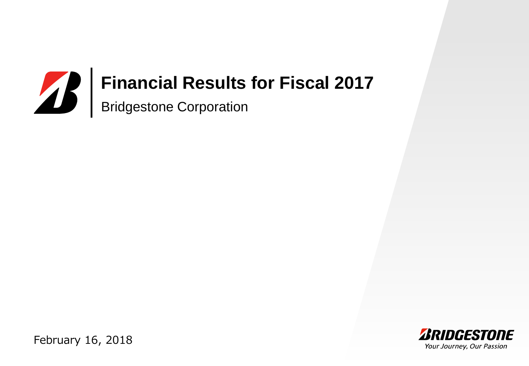# Bridgestone Corporation **Financial Results for Fiscal 2017**



February 16, 2018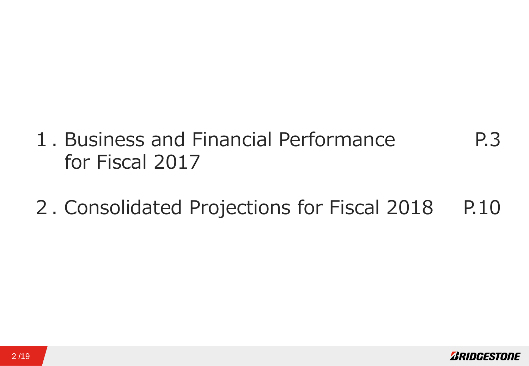- 1. Business and Financial Performance for Fiscal 2017 P.3
- 2. Consolidated Projections for Fiscal 2018 P.10

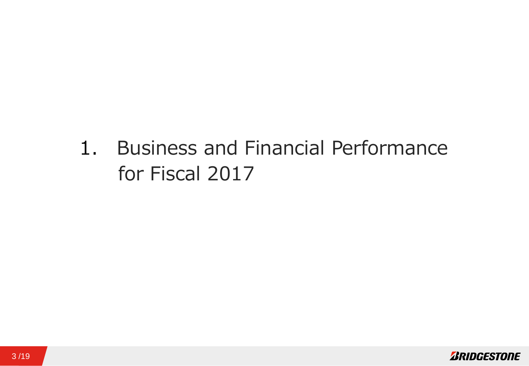1. Business and Financial Performance for Fiscal 2017

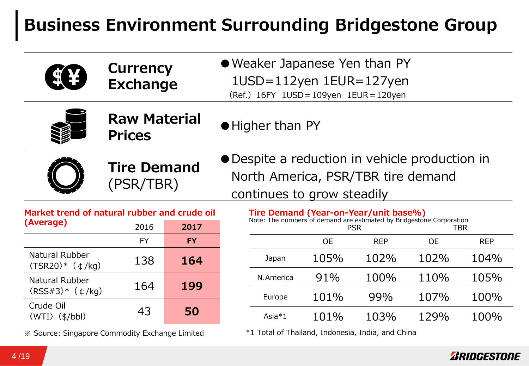# **Business Environment Surrounding Bridgestone Group**

| <b>Currency</b>                              | • Weaker Japanese Yen than PY                                       |
|----------------------------------------------|---------------------------------------------------------------------|
| <b>SEX</b>                                   | 1USD=112yen 1EUR=127yen                                             |
| <b>Exchange</b>                              | (Ref.) 16FY 1USD = 109yen 1EUR = 120yen                             |
| <b>Raw Material</b><br><b>Prices</b>         | • Higher than PY                                                    |
| <b>Tire Demand</b>                           | • Despite a reduction in vehicle production in                      |
| (PSR/TBR)                                    | North America, PSR/TBR tire demand                                  |
| Market trend of natural rubber and crude oil | continues to grow steadily<br>Tire Demand (Year-on-Year/unit base%) |

|                                             |      | ver ann cruie vir |
|---------------------------------------------|------|-------------------|
| (Average)                                   | 2016 | 2017              |
|                                             | FY   | FY                |
| Natural Rubber<br>$(TSR20)*$ ( $\phi$ /kg)  | 138  | 164               |
| Natural Rubber<br>$(RSS#3)*$ $(\phi/kq)$    | 164  | 199               |
| Crude Oil<br>$\langle WTI \rangle$ (\$/bbl) | 43   | 50                |

※ Source: Singapore Commodity Exchange Limited

|                                                             | Market trend of natural rubber and crude oil |           | Tire Demand (Year-on-Year/unit base%)<br>Note: The numbers of demand are estimated by Bridgestone Corporation |                   |            |           |            |
|-------------------------------------------------------------|----------------------------------------------|-----------|---------------------------------------------------------------------------------------------------------------|-------------------|------------|-----------|------------|
| (Average)                                                   | 2016                                         | 2017      |                                                                                                               | TBR<br><b>PSR</b> |            |           |            |
|                                                             | <b>FY</b>                                    | <b>FY</b> |                                                                                                               | <b>OE</b>         | <b>REP</b> | <b>OE</b> | <b>REP</b> |
| Natural Rubber<br>$\langle$ TSR20 $\rangle^*$ ( $\phi$ /kg) | 138                                          | 164       | Japan                                                                                                         | 105%              | 102%       | 102%      | 104%       |
| Natural Rubber                                              | 164                                          | 199       | N.America                                                                                                     | 91%               | 100%       | 110%      | 105%       |
| $\langle RSS\#3\rangle^*$ ( $\phi/kg$ )                     |                                              |           | Europe                                                                                                        | 101%              | 99%        | 107%      | 100%       |
| Crude Oil                                                   | 43                                           | 50        |                                                                                                               |                   |            |           |            |
| $\langle WTI \rangle$ (\$/bbl)                              |                                              |           | Asia $*1$                                                                                                     | 101%              | 103%       | 129%      | 100%       |

\*1 Total of Thailand, Indonesia, India, and China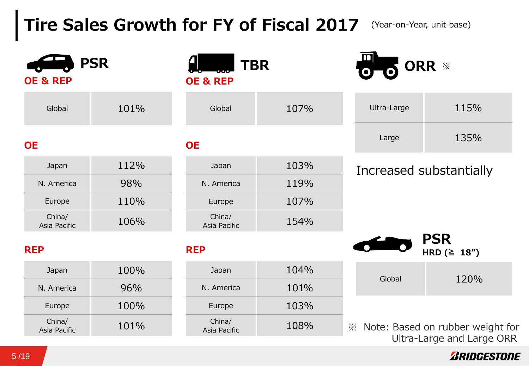# **Tire Sales Growth for FY of Fiscal 2017** (Year-on-Year, unit base)

| <b>OE &amp; REP</b>    | <b>PSR</b> | <b>OE &amp; REP</b>    | <b>TBR</b> |             | ORR *                                                           |
|------------------------|------------|------------------------|------------|-------------|-----------------------------------------------------------------|
| Global                 | 101%       | Global                 | 107%       | Ultra-Large | 115%                                                            |
| <b>OE</b>              |            | <b>OE</b>              |            | Large       | 135%                                                            |
| Japan                  | 112%       | Japan                  | 103%       |             | Increased substantially                                         |
| N. America             | 98%        | N. America             | 119%       |             |                                                                 |
| Europe                 | 110%       | Europe                 | 107%       |             |                                                                 |
| China/<br>Asia Pacific | 106%       | China/<br>Asia Pacific | 154%       |             |                                                                 |
| <b>REP</b>             |            | <b>REP</b>             |            |             | <b>PSR</b><br>HRD $(≥ 18")$                                     |
| Japan                  | 100%       | Japan                  | 104%       | Global      | 120%                                                            |
| N. America             | 96%        | N. America             | 101%       |             |                                                                 |
| Europe                 | 100%       | Europe                 | 103%       |             |                                                                 |
| China/<br>Asia Pacific | 101%       | China/<br>Asia Pacific | 108%       |             | ※ Note: Based on rubber weight for<br>Ultra-Large and Large ORR |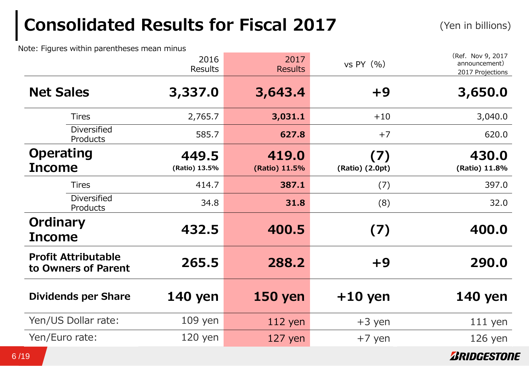# **Consolidated Results for Fiscal 2017**

(Yen in billions)

Note: Figures within parentheses mean minus

|                                                   | 2016<br>Results        | 2017<br><b>Results</b> | vs PY $($ %)           | (Ref. Nov 9, 2017<br>announcement)<br>2017 Projections |
|---------------------------------------------------|------------------------|------------------------|------------------------|--------------------------------------------------------|
| <b>Net Sales</b>                                  | 3,337.0                | 3,643.4                | $+9$                   | 3,650.0                                                |
| <b>Tires</b>                                      | 2,765.7                | 3,031.1                | $+10$                  | 3,040.0                                                |
| <b>Diversified</b><br>Products                    | 585.7                  | 627.8                  | $+7$                   | 620.0                                                  |
| <b>Operating</b><br><b>Income</b>                 | 449.5<br>(Ratio) 13.5% | 419.0<br>(Ratio) 11.5% | (7)<br>(Ratio) (2.0pt) | 430.0<br>(Ratio) 11.8%                                 |
| <b>Tires</b>                                      | 414.7                  | 387.1                  | (7)                    | 397.0                                                  |
| Diversified<br>Products                           | 34.8                   | 31.8                   | (8)                    | 32.0                                                   |
| Ordinary<br><b>Income</b>                         | 432.5                  | 400.5                  | (7)                    | 400.0                                                  |
| <b>Profit Attributable</b><br>to Owners of Parent | 265.5                  | 288.2                  | $+9$                   | 290.0                                                  |
| <b>Dividends per Share</b>                        | <b>140 yen</b>         | <b>150 yen</b>         | $+10$ yen              | <b>140 yen</b>                                         |
| Yen/US Dollar rate:                               | $109$ yen              | 112 yen                | $+3$ yen               | $111$ yen                                              |
| Yen/Euro rate:                                    | $120$ yen              | $127$ yen              | $+7$ yen               | $126$ yen                                              |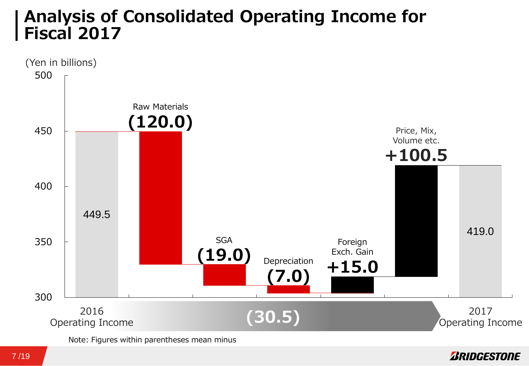### **Analysis of Consolidated Operating Income for Fiscal 2017**



Note: Figures within parentheses mean minus

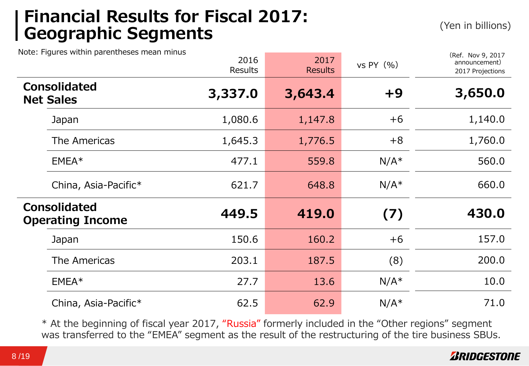### **Financial Results for Fiscal 2017: Geographic Segments** (Yen in billions)

Note: Figures within parentheses mean minus

|                  | vote: Figures within parentneses mean minus    | 2016<br><b>Results</b> | 2017<br><b>Results</b> | vs PY $($ %) | (Ref. Nov 9, 2017<br>announcement)<br>2017 Projections |
|------------------|------------------------------------------------|------------------------|------------------------|--------------|--------------------------------------------------------|
| <b>Net Sales</b> | <b>Consolidated</b>                            | 3,337.0                | 3,643.4                | $+9$         | 3,650.0                                                |
|                  | Japan                                          | 1,080.6                | 1,147.8                | $+6$         | 1,140.0                                                |
|                  | The Americas                                   | 1,645.3                | 1,776.5                | $+8$         | 1,760.0                                                |
|                  | $EMEA*$                                        | 477.1                  | 559.8                  | $N/A^*$      | 560.0                                                  |
|                  | China, Asia-Pacific*                           | 621.7                  | 648.8                  | $N/A^*$      | 660.0                                                  |
|                  | <b>Consolidated</b><br><b>Operating Income</b> | 449.5                  | 419.0                  | (7)          | 430.0                                                  |
|                  | Japan                                          | 150.6                  | 160.2                  | $+6$         | 157.0                                                  |
|                  | The Americas                                   | 203.1                  | 187.5                  | (8)          | 200.0                                                  |
|                  | $EMEA*$                                        | 27.7                   | 13.6                   | $N/A^*$      | 10.0                                                   |
|                  | China, Asia-Pacific*                           | 62.5                   | 62.9                   | $N/A^*$      | 71.0                                                   |

\* At the beginning of fiscal year 2017, "Russia" formerly included in the "Other regions" segment was transferred to the "EMEA" segment as the result of the restructuring of the tire business SBUs.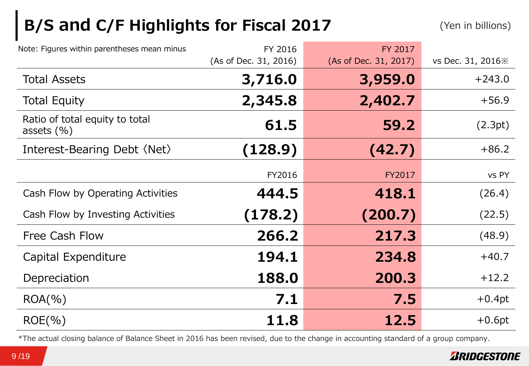# **B/S and C/F Highlights for Fiscal 2017** (Yen in billions)

| Note: Figures within parentheses mean minus      | FY 2016               | FY 2017               |                    |
|--------------------------------------------------|-----------------------|-----------------------|--------------------|
|                                                  | (As of Dec. 31, 2016) | (As of Dec. 31, 2017) | vs Dec. 31, 2016 % |
| <b>Total Assets</b>                              | 3,716.0               | 3,959.0               | $+243.0$           |
| <b>Total Equity</b>                              | 2,345.8               | 2,402.7               | $+56.9$            |
| Ratio of total equity to total<br>assets $(\% )$ | 61.5                  | 59.2                  | (2.3pt)            |
| Interest-Bearing Debt (Net)                      | (128.9)               | (42.7)                | $+86.2$            |
|                                                  | FY2016                | FY2017                | vs PY              |
| Cash Flow by Operating Activities                | 444.5                 | 418.1                 | (26.4)             |
| Cash Flow by Investing Activities                | (178.2)               | (200.7)               | (22.5)             |
| Free Cash Flow                                   | 266.2                 | 217.3                 | (48.9)             |
| Capital Expenditure                              | 194.1                 | 234.8                 | $+40.7$            |
| Depreciation                                     | 188.0                 | 200.3                 | $+12.2$            |
| $ROA(\% )$                                       | 7.1                   | 7.5                   | $+0.4pt$           |
| $ROE(\% )$                                       | 11.8                  | 12.5                  | $+0.6pt$           |

\*The actual closing balance of Balance Sheet in 2016 has been revised, due to the change in accounting standard of a group company.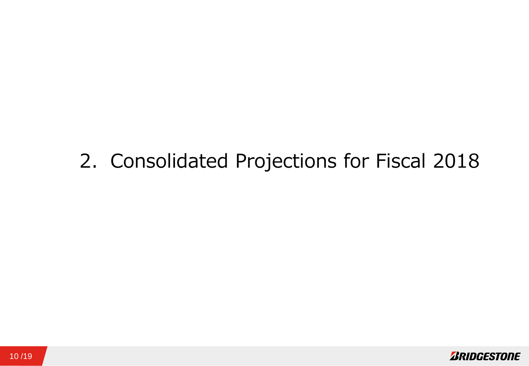# 2. Consolidated Projections for Fiscal 2018

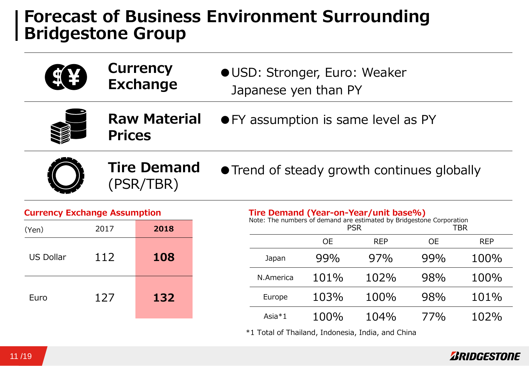### **Forecast of Business Environment Surrounding Bridgestone Group**

|                                     |                                      | <b>Currency</b><br><b>Exchange</b> | OUSD: Stronger, Euro: Weaker<br>Japanese yen than PY                                                                 |           |                                             |           |            |
|-------------------------------------|--------------------------------------|------------------------------------|----------------------------------------------------------------------------------------------------------------------|-----------|---------------------------------------------|-----------|------------|
|                                     | <b>Raw Material</b><br><b>Prices</b> |                                    |                                                                                                                      |           | • FY assumption is same level as PY         |           |            |
|                                     |                                      | <b>Tire Demand</b><br>(PSR/TBR)    |                                                                                                                      |           | • Trend of steady growth continues globally |           |            |
| <b>Currency Exchange Assumption</b> |                                      |                                    | <b>Tire Demand (Year-on-Year/unit base%)</b><br>Note: The numbers of demand are estimated by Bridgestone Corporation |           |                                             |           |            |
| (Yen)                               | 2017                                 | 2018                               |                                                                                                                      |           | <b>PSR</b>                                  |           | <b>TBR</b> |
|                                     |                                      |                                    |                                                                                                                      | <b>OE</b> | <b>REP</b>                                  | <b>OE</b> | <b>REP</b> |
| <b>US Dollar</b>                    | 112                                  | 108                                | Japan                                                                                                                | 99%       | 97%                                         | 99%       | 100%       |
|                                     |                                      |                                    | N.America                                                                                                            | 101%      | 102%                                        | 98%       | 100%       |
| Euro                                | 127                                  | 132                                | Europe                                                                                                               | 103%      | 100%                                        | 98%       | 101%       |
|                                     |                                      |                                    | Asia $*1$                                                                                                            | 100%      | 104%                                        | 77%       | 102%       |

\*1 Total of Thailand, Indonesia, India, and China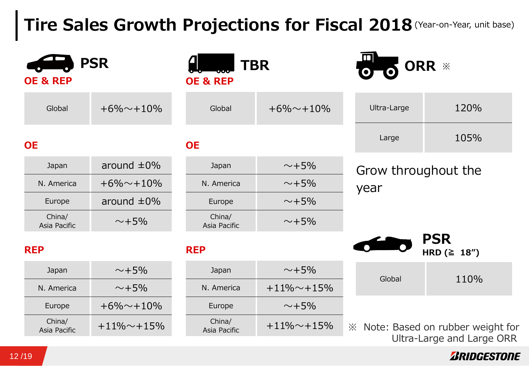## **Tire Sales Growth Projections for Fiscal 2018** (Year-on-Year, unit base)

| <b>OE &amp; REP</b>    | <b>PSR</b>       | <b>TBR</b><br><b>OE &amp; REP</b> |                | $\overline{\mathbf{m}}$ | ORR *                                                              |
|------------------------|------------------|-----------------------------------|----------------|-------------------------|--------------------------------------------------------------------|
| Global                 | $+6\% + 10\%$    | Global                            | $+6\% + 10\%$  | Ultra-Large             | 120%                                                               |
| <b>OE</b>              |                  | <b>OE</b>                         |                | Large                   | 105%                                                               |
| Japan                  | around $\pm 0\%$ | Japan                             | $\sim +5\%$    | Grow throughout the     |                                                                    |
| N. America             | $+6\% + 10\%$    | N. America                        | $\sim +5\%$    | year                    |                                                                    |
| Europe                 | around $\pm 0\%$ | Europe                            | $\sim$ +5%     |                         |                                                                    |
| China/<br>Asia Pacific | $\sim +5\%$      | China/<br>Asia Pacific            | $\sim$ +5%     |                         |                                                                    |
| <b>REP</b>             |                  | <b>REP</b>                        |                |                         | <b>PSR</b><br>HRD $( \geq 18'')$                                   |
| Japan                  | $\sim +5\%$      | Japan                             | $\sim +5\%$    | Global                  | 110%                                                               |
| N. America             | $\sim +5\%$      | N. America                        | $+11\% + 15\%$ |                         |                                                                    |
| Europe                 | $+6\% + 10\%$    | Europe                            | $\sim +5\%$    |                         |                                                                    |
| China/<br>Asia Pacific | $+11\% + 15\%$   | China/<br>Asia Pacific            | $+11\% + 15\%$ |                         | im ≥ Note: Based on rubber weight for<br>Ultra-Large and Large ORR |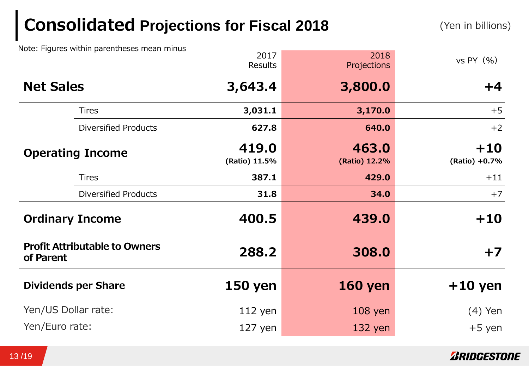# **Consolidated Projections for Fiscal 2018**

Note: Figures within parentheses mean minus

|                                                   | 2017<br>Results        | 2018<br>Projections    | vs PY $(% )$           |
|---------------------------------------------------|------------------------|------------------------|------------------------|
| <b>Net Sales</b>                                  | 3,643.4                | 3,800.0                | $+4$                   |
| <b>Tires</b>                                      | 3,031.1                | 3,170.0                | $+5$                   |
| <b>Diversified Products</b>                       | 627.8                  | 640.0                  | $+2$                   |
| <b>Operating Income</b>                           | 419.0<br>(Ratio) 11.5% | 463.0<br>(Ratio) 12.2% | $+10$<br>(Ratio) +0.7% |
| <b>Tires</b>                                      | 387.1                  | 429.0                  | $+11$                  |
| <b>Diversified Products</b>                       | 31.8                   | 34.0                   | $+7$                   |
| <b>Ordinary Income</b>                            | 400.5                  | 439.0                  | $+10$                  |
| <b>Profit Attributable to Owners</b><br>of Parent | 288.2                  | 308.0                  | $+7$                   |
| <b>Dividends per Share</b>                        | <b>150 yen</b>         | <b>160 yen</b>         | $+10$ yen              |
| Yen/US Dollar rate:                               | $112$ yen              | $108$ yen              | $(4)$ Yen              |
| Yen/Euro rate:                                    | $127$ yen              | $132$ yen              | $+5$ yen               |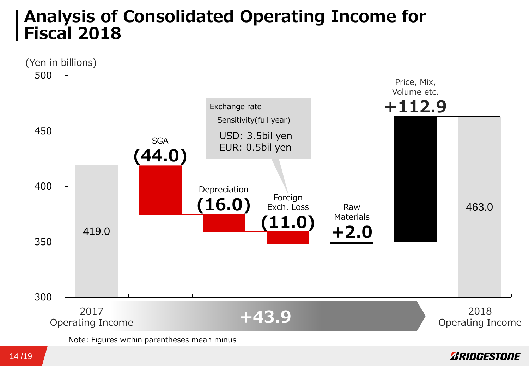### **Analysis of Consolidated Operating Income for Fiscal 2018**

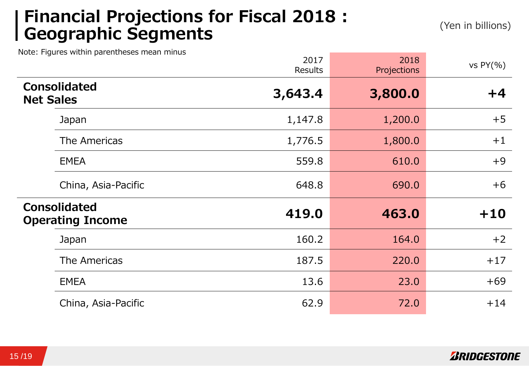### **Financial Projections for Fiscal 2018 : Geographic Segments** (Yen in billions)

Note: Figures within parentheses mean minus

|                  |                                                | 2017<br><b>Results</b> | 2018<br>Projections | vs $PY(\% )$ |
|------------------|------------------------------------------------|------------------------|---------------------|--------------|
| <b>Net Sales</b> | <b>Consolidated</b>                            | 3,643.4                | 3,800.0             | $+4$         |
|                  | Japan                                          | 1,147.8                | 1,200.0             | $+5$         |
|                  | The Americas                                   | 1,776.5                | 1,800.0             | $+1$         |
|                  | <b>EMEA</b>                                    | 559.8                  | 610.0               | $+9$         |
|                  | China, Asia-Pacific                            | 648.8                  | 690.0               | $+6$         |
|                  | <b>Consolidated</b><br><b>Operating Income</b> | 419.0                  | 463.0               | $+10$        |
|                  | Japan                                          | 160.2                  | 164.0               | $+2$         |
|                  | The Americas                                   | 187.5                  | 220.0               | $+17$        |
|                  | <b>EMEA</b>                                    | 13.6                   | 23.0                | $+69$        |
|                  | China, Asia-Pacific                            | 62.9                   | 72.0                | $+14$        |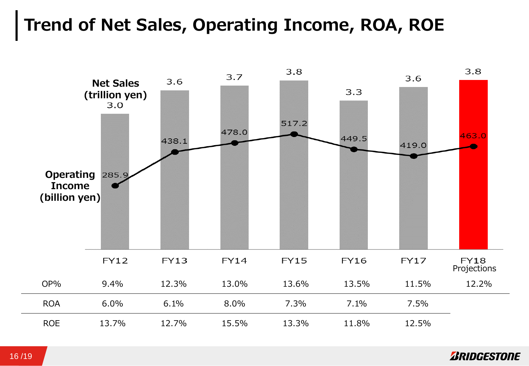## **Trend of Net Sales, Operating Income, ROA, ROE**



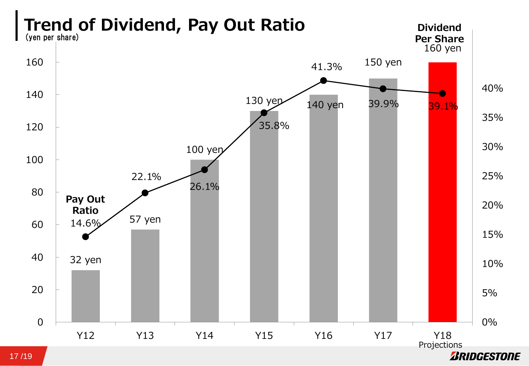

#### 17 /19

*BRIDGESTONE*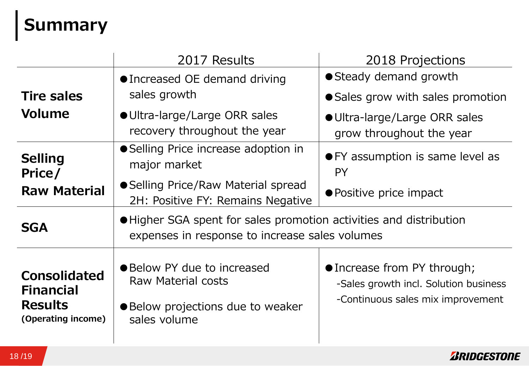# **Summary**

|                                                                                 | 2017 Results                                                                                                         | 2018 Projections                                                                                          |  |  |
|---------------------------------------------------------------------------------|----------------------------------------------------------------------------------------------------------------------|-----------------------------------------------------------------------------------------------------------|--|--|
|                                                                                 | • Increased OE demand driving                                                                                        | ● Steady demand growth                                                                                    |  |  |
| <b>Tire sales</b>                                                               | sales growth                                                                                                         | • Sales grow with sales promotion                                                                         |  |  |
| Volume                                                                          | ● Ultra-large/Large ORR sales<br>recovery throughout the year                                                        | ● Ultra-large/Large ORR sales<br>grow throughout the year                                                 |  |  |
| <b>Selling</b><br>Price/<br><b>Raw Material</b>                                 | • Selling Price increase adoption in<br>major market                                                                 | • FY assumption is same level as<br><b>PY</b>                                                             |  |  |
|                                                                                 | ● Selling Price/Raw Material spread<br>2H: Positive FY: Remains Negative                                             | • Positive price impact                                                                                   |  |  |
| <b>SGA</b>                                                                      | • Higher SGA spent for sales promotion activities and distribution<br>expenses in response to increase sales volumes |                                                                                                           |  |  |
| <b>Consolidated</b><br><b>Financial</b><br><b>Results</b><br>(Operating income) | • Below PY due to increased<br>Raw Material costs<br>● Below projections due to weaker<br>sales volume               | • Increase from PY through;<br>-Sales growth incl. Solution business<br>-Continuous sales mix improvement |  |  |